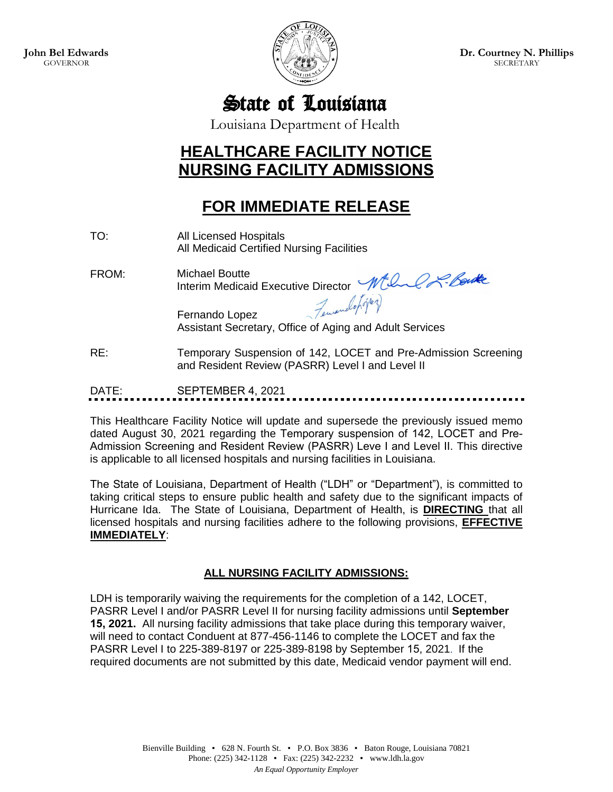

**Dr. Courtney N. Phillips SECRETARY** 

State of Louisiana

Louisiana Department of Health

## **HEALTHCARE FACILITY NOTICE NURSING FACILITY ADMISSIONS**

## **FOR IMMEDIATE RELEASE**

- TO: All Licensed Hospitals All Medicaid Certified Nursing Facilities
- FROM: Michael Boutte Interim Medicaid Executive Director

Fernando Lopez Assistant Secretary, Office of Aging and Adult Services

RE: Temporary Suspension of 142, LOCET and Pre-Admission Screening and Resident Review (PASRR) Level I and Level II

DATE: SEPTEMBER 4, 2021

This Healthcare Facility Notice will update and supersede the previously issued memo dated August 30, 2021 regarding the Temporary suspension of 142, LOCET and Pre-Admission Screening and Resident Review (PASRR) Leve I and Level II. This directive is applicable to all licensed hospitals and nursing facilities in Louisiana.

The State of Louisiana, Department of Health ("LDH" or "Department"), is committed to taking critical steps to ensure public health and safety due to the significant impacts of Hurricane Ida. The State of Louisiana, Department of Health, is **DIRECTING** that all licensed hospitals and nursing facilities adhere to the following provisions, **EFFECTIVE IMMEDIATELY**:

## **ALL NURSING FACILITY ADMISSIONS:**

LDH is temporarily waiving the requirements for the completion of a 142, LOCET, PASRR Level I and/or PASRR Level II for nursing facility admissions until **September 15, 2021.** All nursing facility admissions that take place during this temporary waiver, will need to contact Conduent at 877-456-1146 to complete the LOCET and fax the PASRR Level I to 225-389-8197 or 225-389-8198 by September 15, 2021. If the required documents are not submitted by this date, Medicaid vendor payment will end.